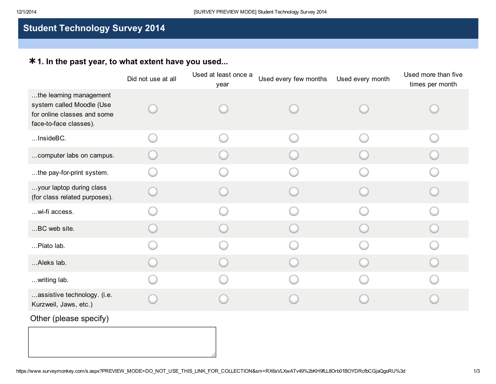# Student Technology Survey 2014

## \* 1. In the past year, to what extent have you used...

|                                                                                                               | Did not use at all | Used at least once a<br>year | Used every few months | Used every month | Used more than five<br>times per month |
|---------------------------------------------------------------------------------------------------------------|--------------------|------------------------------|-----------------------|------------------|----------------------------------------|
| the learning management<br>system called Moodle (Use<br>for online classes and some<br>face-to-face classes). |                    |                              |                       |                  |                                        |
| InsideBC.                                                                                                     |                    |                              |                       |                  |                                        |
| computer labs on campus.                                                                                      |                    |                              |                       |                  |                                        |
| the pay-for-print system.                                                                                     |                    |                              |                       |                  |                                        |
| your laptop during class<br>(for class related purposes).                                                     |                    |                              |                       |                  |                                        |
| wi-fi access.                                                                                                 |                    |                              |                       |                  |                                        |
| BC web site.                                                                                                  |                    |                              |                       |                  |                                        |
| Plato lab.                                                                                                    |                    |                              |                       |                  |                                        |
| Aleks lab.                                                                                                    |                    |                              |                       |                  |                                        |
| writing lab.                                                                                                  |                    |                              |                       |                  |                                        |
| assistive technology. (i.e.<br>Kurzweil, Jaws, etc.)                                                          |                    |                              |                       |                  |                                        |

### Other (please specify)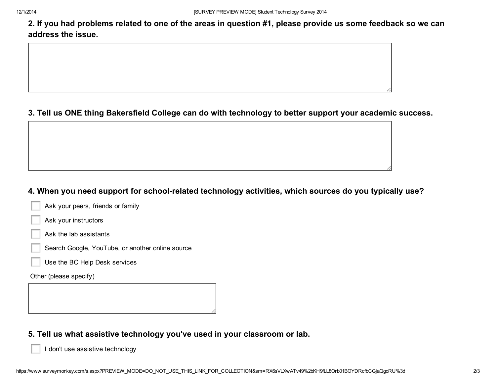2. If you had problems related to one of the areas in question #1, please provide us some feedback so we can address the issue.

#### 3. Tell us ONE thing Bakersfield College can do with technology to better support your academic success.

#### 4. When you need support for school-related technology activities, which sources do you typically use?

| Ask your peers, friends or family |
|-----------------------------------|
| Ask your instructors              |
| Ask the lab assistants            |

- Search Google, YouTube, or another online source
- Use the BC Help Desk services

Other (please specify)

### 5. Tell us what assistive technology you've used in your classroom or lab.

I don't use assistive technology